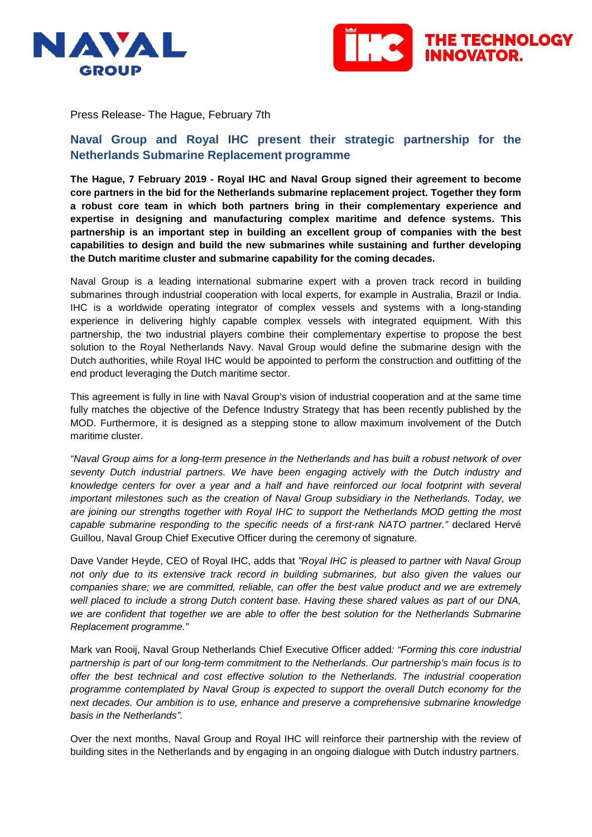



Press Release- The Hague, February 7th

## **Naval Group and Royal IHC present their strategic partnership for the Netherlands Submarine Replacement programme**

**The Hague, 7 February 2019 - Royal IHC and Naval Group signed their agreement to become core partners in the bid for the Netherlands submarine replacement project. Together they form a robust core team in which both partners bring in their complementary experience and expertise in designing and manufacturing complex maritime and defence systems. This partnership is an important step in building an excellent group of companies with the best capabilities to design and build the new submarines while sustaining and further developing the Dutch maritime cluster and submarine capability for the coming decades.** 

Naval Group is a leading international submarine expert with a proven track record in building submarines through industrial cooperation with local experts, for example in Australia, Brazil or India. IHC is a worldwide operating integrator of complex vessels and systems with a long-standing experience in delivering highly capable complex vessels with integrated equipment. With this partnership, the two industrial players combine their complementary expertise to propose the best solution to the Royal Netherlands Navy. Naval Group would define the submarine design with the Dutch authorities, while Royal IHC would be appointed to perform the construction and outfitting of the end product leveraging the Dutch maritime sector.

This agreement is fully in line with Naval Group's vision of industrial cooperation and at the same time fully matches the objective of the Defence Industry Strategy that has been recently published by the MOD. Furthermore, it is designed as a stepping stone to allow maximum involvement of the Dutch maritime cluster.

*"Naval Group aims for a long-term presence in the Netherlands and has built a robust network of over seventy Dutch industrial partners. We have been engaging actively with the Dutch industry and knowledge centers for over a year and a half and have reinforced our local footprint with several important milestones such as the creation of Naval Group subsidiary in the Netherlands. Today, we are joining our strengths together with Royal IHC to support the Netherlands MOD getting the most capable submarine responding to the specific needs of a first-rank NATO partner."* declared Hervé Guillou, Naval Group Chief Executive Officer during the ceremony of signature.

Dave Vander Heyde, CEO of Royal IHC, adds that *"Royal IHC is pleased to partner with Naval Group not only due to its extensive track record in building submarines, but also given the values our companies share; we are committed, reliable, can offer the best value product and we are extremely well placed to include a strong Dutch content base. Having these shared values as part of our DNA, we are confident that together we are able to offer the best solution for the Netherlands Submarine Replacement programme."*

Mark van Rooij, Naval Group Netherlands Chief Executive Officer added*: "Forming this core industrial partnership is part of our long-term commitment to the Netherlands. Our partnership's main focus is to offer the best technical and cost effective solution to the Netherlands. The industrial cooperation programme contemplated by Naval Group is expected to support the overall Dutch economy for the next decades. Our ambition is to use, enhance and preserve a comprehensive submarine knowledge basis in the Netherlands".*

Over the next months, Naval Group and Royal IHC will reinforce their partnership with the review of building sites in the Netherlands and by engaging in an ongoing dialogue with Dutch industry partners.